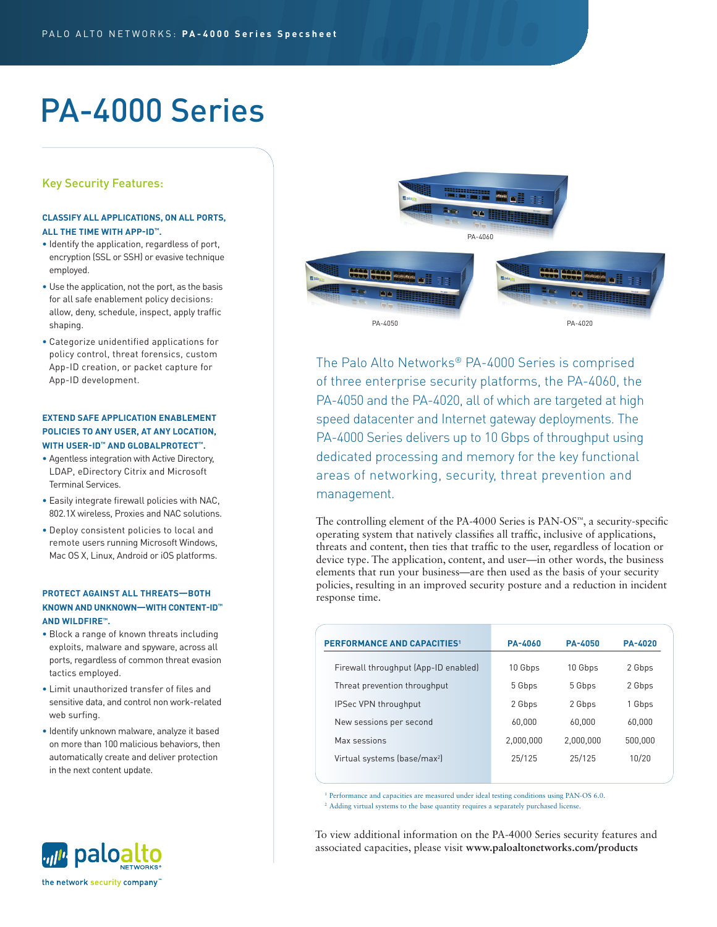# PA-4000 Series

# Key Security Features:

## **CLASSIFY ALL APPLICATIONS, ON ALL PORTS, ALL THE TIME WITH APP-ID™.**

- Identify the application, regardless of port, encryption (SSL or SSH) or evasive technique employed.
- Use the application, not the port, as the basis for all safe enablement policy decisions: allow, deny, schedule, inspect, apply traffic shaping.
- Categorize unidentified applications for policy control, threat forensics, custom App-ID creation, or packet capture for App-ID development.

# **EXTEND SAFE APPLICATION ENABLEMENT POLICIES TO ANY USER, AT ANY LOCATION, WITH USER-ID™ AND GLOBALPROTECT™.**

- Agentless integration with Active Directory, LDAP, eDirectory Citrix and Microsoft Terminal Services.
- Easily integrate firewall policies with NAC, 802.1X wireless, Proxies and NAC solutions.
- Deploy consistent policies to local and remote users running Microsoft Windows, Mac OS X, Linux, Android or iOS platforms.

# **PROTECT AGAINST ALL THREATS—BOTH KNOWN AND UNKNOWN—WITH CONTENT-ID™ AND WILDFIRE™.**

- Block a range of known threats including exploits, malware and spyware, across all ports, regardless of common threat evasion tactics employed.
- Limit unauthorized transfer of files and sensitive data, and control non work-related web surfing.
- Identify unknown malware, analyze it based on more than 100 malicious behaviors, then automatically create and deliver protection in the next content update.



The Palo Alto Networks® PA-4000 Series is comprised of three enterprise security platforms, the PA-4060, the PA-4050 and the PA-4020, all of which are targeted at high speed datacenter and Internet gateway deployments. The PA-4000 Series delivers up to 10 Gbps of throughput using dedicated processing and memory for the key functional areas of networking, security, threat prevention and management.

The controlling element of the PA-4000 Series is PAN-OS™, a security-specific operating system that natively classifies all traffic, inclusive of applications, threats and content, then ties that traffic to the user, regardless of location or device type. The application, content, and user—in other words, the business elements that run your business—are then used as the basis of your security policies, resulting in an improved security posture and a reduction in incident response time.

| <b>PERFORMANCE AND CAPACITIES1</b>       | <b>PA-4060</b> | <b>PA-4050</b> | <b>PA-4020</b> |
|------------------------------------------|----------------|----------------|----------------|
| Firewall throughput (App-ID enabled)     | 10 Gbps        | 10 Gbps        | 2 Gbps         |
| Threat prevention throughput             | 5 Gbps         | 5 Gbps         | 2 Gbps         |
| IPSec VPN throughput                     | 2 Gbps         | 2 Gbps         | 1 Gbps         |
| New sessions per second                  | 60.000         | 60.000         | 60,000         |
| Max sessions                             | 2,000,000      | 2.000.000      | 500,000        |
| Virtual systems (base/max <sup>2</sup> ) | 25/125         | 25/125         | 10/20          |
|                                          |                |                |                |

<sup>1</sup> Performance and capacities are measured under ideal testing conditions using PAN-OS 6.0. <sup>2</sup> Adding virtual systems to the base quantity requires a separately purchased license.

To view additional information on the PA-4000 Series security features and associated capacities, please visit **www.paloaltonetworks.com/products**